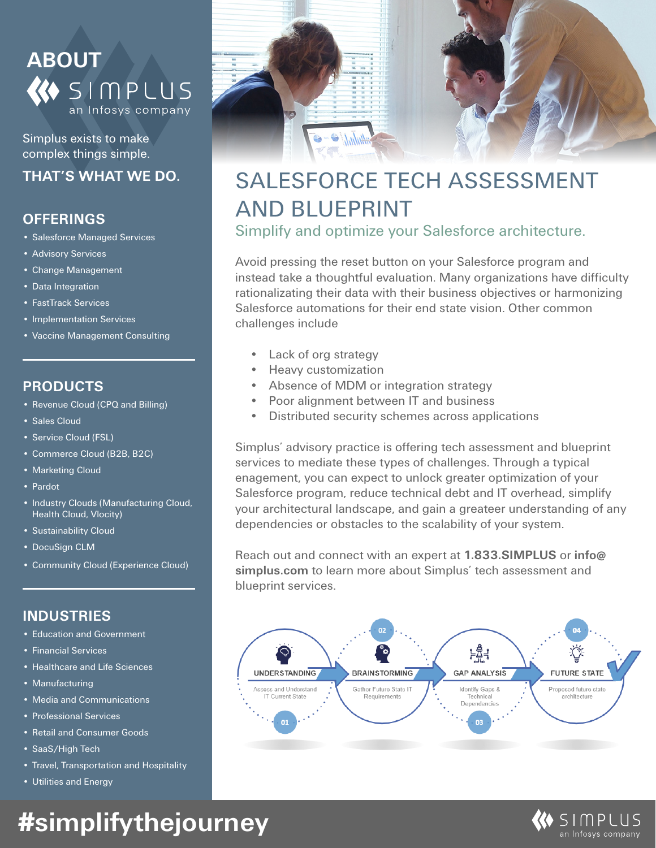

Simplus exists to make complex things simple.

### **THAT'S WHAT WE DO.**

### **OFFERINGS**

- Salesforce Managed Services
- Advisory Services
- Change Management
- Data Integration
- FastTrack Services
- Implementation Services
- Vaccine Management Consulting

#### **PRODUCTS**

- Revenue Cloud (CPQ and Billing)
- Sales Cloud
- Service Cloud (FSL)
- Commerce Cloud (B2B, B2C)
- Marketing Cloud
- Pardot
- Industry Clouds (Manufacturing Cloud, Health Cloud, Vlocity)
- Sustainability Cloud
- DocuSign CLM
- Community Cloud (Experience Cloud)

#### **INDUSTRIES**

- Education and Government
- Financial Services
- Healthcare and Life Sciences
- Manufacturing
- Media and Communications
- Professional Services
- Retail and Consumer Goods
- SaaS/High Tech
- Travel, Transportation and Hospitality
- Utilities and Energy



### SALESFORCE TECH ASSESSMENT AND BLUEPRINT

Simplify and optimize your Salesforce architecture.

Avoid pressing the reset button on your Salesforce program and instead take a thoughtful evaluation. Many organizations have difficulty rationalizating their data with their business objectives or harmonizing Salesforce automations for their end state vision. Other common challenges include

- Lack of org strategy
- Heavy customization
- Absence of MDM or integration strategy
- Poor alignment between IT and business
- Distributed security schemes across applications

Simplus' advisory practice is offering tech assessment and blueprint services to mediate these types of challenges. Through a typical enagement, you can expect to unlock greater optimization of your Salesforce program, reduce technical debt and IT overhead, simplify your architectural landscape, and gain a greateer understanding of any dependencies or obstacles to the scalability of your system.

Reach out and connect with an expert at **1.833.SIMPLUS** or **info@ simplus.com** to learn more about Simplus' tech assessment and blueprint services.





# **#simplifythejourney**